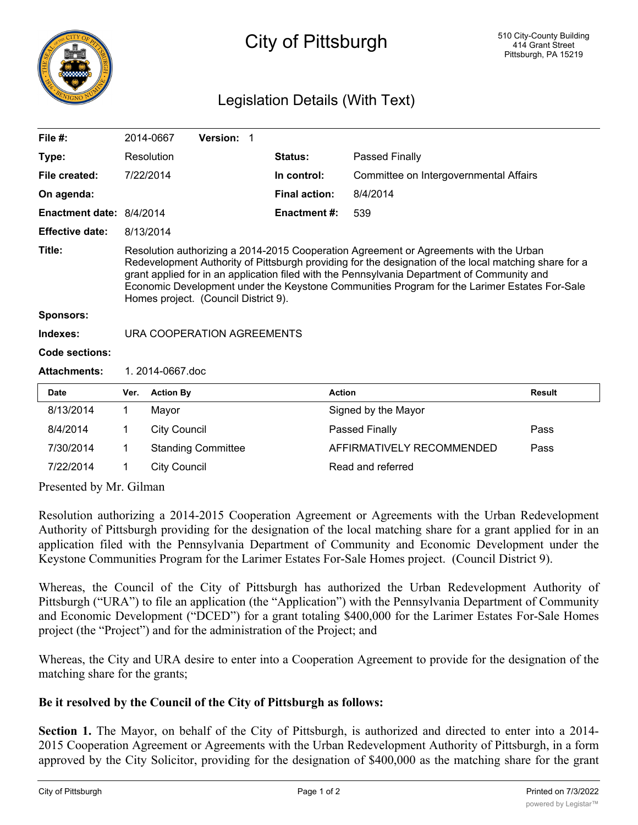

## City of Pittsburgh

## Legislation Details (With Text)

| File $#$ :               |                                                                                                                                                                                                                                                                                                                                                                                                                                       | 2014-0667           | Version: 1                |  |                      |                                        |               |
|--------------------------|---------------------------------------------------------------------------------------------------------------------------------------------------------------------------------------------------------------------------------------------------------------------------------------------------------------------------------------------------------------------------------------------------------------------------------------|---------------------|---------------------------|--|----------------------|----------------------------------------|---------------|
| Type:                    |                                                                                                                                                                                                                                                                                                                                                                                                                                       | Resolution          |                           |  | Status:              | Passed Finally                         |               |
| File created:            |                                                                                                                                                                                                                                                                                                                                                                                                                                       | 7/22/2014           |                           |  | In control:          | Committee on Intergovernmental Affairs |               |
| On agenda:               |                                                                                                                                                                                                                                                                                                                                                                                                                                       |                     |                           |  | <b>Final action:</b> | 8/4/2014                               |               |
| Enactment date: 8/4/2014 |                                                                                                                                                                                                                                                                                                                                                                                                                                       |                     |                           |  | <b>Enactment #:</b>  | 539                                    |               |
| <b>Effective date:</b>   | 8/13/2014                                                                                                                                                                                                                                                                                                                                                                                                                             |                     |                           |  |                      |                                        |               |
| Title:                   | Resolution authorizing a 2014-2015 Cooperation Agreement or Agreements with the Urban<br>Redevelopment Authority of Pittsburgh providing for the designation of the local matching share for a<br>grant applied for in an application filed with the Pennsylvania Department of Community and<br>Economic Development under the Keystone Communities Program for the Larimer Estates For-Sale<br>Homes project. (Council District 9). |                     |                           |  |                      |                                        |               |
| <b>Sponsors:</b>         |                                                                                                                                                                                                                                                                                                                                                                                                                                       |                     |                           |  |                      |                                        |               |
| Indexes:                 | URA COOPERATION AGREEMENTS                                                                                                                                                                                                                                                                                                                                                                                                            |                     |                           |  |                      |                                        |               |
| <b>Code sections:</b>    |                                                                                                                                                                                                                                                                                                                                                                                                                                       |                     |                           |  |                      |                                        |               |
| <b>Attachments:</b>      | 1.2014-0667.doc                                                                                                                                                                                                                                                                                                                                                                                                                       |                     |                           |  |                      |                                        |               |
| <b>Date</b>              | Ver.                                                                                                                                                                                                                                                                                                                                                                                                                                  | <b>Action By</b>    |                           |  |                      | <b>Action</b>                          | <b>Result</b> |
| 8/13/2014                | 1                                                                                                                                                                                                                                                                                                                                                                                                                                     | Mayor               |                           |  |                      | Signed by the Mayor                    |               |
| 8/4/2014                 | 1                                                                                                                                                                                                                                                                                                                                                                                                                                     | <b>City Council</b> |                           |  |                      | <b>Passed Finally</b>                  | Pass          |
| 7/30/2014                | 1                                                                                                                                                                                                                                                                                                                                                                                                                                     |                     | <b>Standing Committee</b> |  |                      | AFFIRMATIVELY RECOMMENDED              | Pass          |
| 7/22/2014                | 1                                                                                                                                                                                                                                                                                                                                                                                                                                     | <b>City Council</b> |                           |  |                      | Read and referred                      |               |

Presented by Mr. Gilman

Resolution authorizing a 2014-2015 Cooperation Agreement or Agreements with the Urban Redevelopment Authority of Pittsburgh providing for the designation of the local matching share for a grant applied for in an application filed with the Pennsylvania Department of Community and Economic Development under the Keystone Communities Program for the Larimer Estates For-Sale Homes project. (Council District 9).

Whereas, the Council of the City of Pittsburgh has authorized the Urban Redevelopment Authority of Pittsburgh ("URA") to file an application (the "Application") with the Pennsylvania Department of Community and Economic Development ("DCED") for a grant totaling \$400,000 for the Larimer Estates For-Sale Homes project (the "Project") and for the administration of the Project; and

Whereas, the City and URA desire to enter into a Cooperation Agreement to provide for the designation of the matching share for the grants;

## **Be it resolved by the Council of the City of Pittsburgh as follows:**

**Section 1.** The Mayor, on behalf of the City of Pittsburgh, is authorized and directed to enter into a 2014- 2015 Cooperation Agreement or Agreements with the Urban Redevelopment Authority of Pittsburgh, in a form approved by the City Solicitor, providing for the designation of \$400,000 as the matching share for the grant